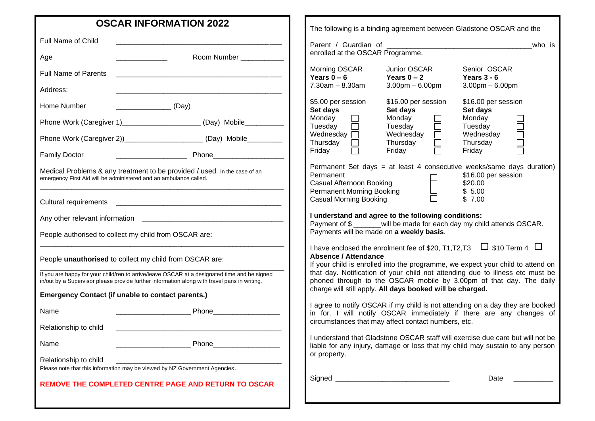|                                                                                                                                                                                              | <b>OSCAR INFORMATION 2022</b>                                                                                        |                                                                                                                                                                                                                   |                                                                                                                              | The following is a binding agreement between Gladstone OSCAR and the          |  |
|----------------------------------------------------------------------------------------------------------------------------------------------------------------------------------------------|----------------------------------------------------------------------------------------------------------------------|-------------------------------------------------------------------------------------------------------------------------------------------------------------------------------------------------------------------|------------------------------------------------------------------------------------------------------------------------------|-------------------------------------------------------------------------------|--|
| Full Name of Child                                                                                                                                                                           |                                                                                                                      | who is                                                                                                                                                                                                            |                                                                                                                              |                                                                               |  |
| Age                                                                                                                                                                                          | Room Number                                                                                                          | enrolled at the OSCAR Programme.                                                                                                                                                                                  |                                                                                                                              |                                                                               |  |
| <b>Full Name of Parents</b>                                                                                                                                                                  | <u> 1980 - Jan Barbarat, margaret amerikan basar dan berasal dan berasal dan berasal dan berasal dan berasal dan</u> | Morning OSCAR<br>Years $\tilde{0}$ – 6                                                                                                                                                                            | Junior OSCAR<br>Years $0 - 2$                                                                                                | Senior OSCAR<br>Years $3 - 6$                                                 |  |
| Address:                                                                                                                                                                                     |                                                                                                                      | $7.30$ am $- 8.30$ am                                                                                                                                                                                             | $3.00$ pm $-6.00$ pm                                                                                                         | $3.00$ pm $- 6.00$ pm                                                         |  |
| Home Number                                                                                                                                                                                  | $\overline{\phantom{a}}$ (Day)                                                                                       | \$5.00 per session<br>Set days                                                                                                                                                                                    | \$16.00 per session<br>Set days                                                                                              | \$16.00 per session<br>Set days                                               |  |
|                                                                                                                                                                                              | Phone Work (Caregiver 1)_________________________ (Day) Mobile___________                                            | $\begin{array}{c} \square \\ \square \end{array}$<br>Monday<br>Tuesday                                                                                                                                            | Monday<br>Tuesday                                                                                                            | Monday<br>Tuesday                                                             |  |
|                                                                                                                                                                                              | Phone Work (Caregiver 2))______________________(Day) Mobile_________                                                 | Wednesday $\Box$<br>$\bar{\Xi}$<br>Thursday                                                                                                                                                                       | 1000<br>Wednesday<br>Thursday                                                                                                | n<br>H<br>H<br>H<br>H<br>Wednesday<br>Thursday                                |  |
|                                                                                                                                                                                              |                                                                                                                      | Friday                                                                                                                                                                                                            | Friday                                                                                                                       | Friday                                                                        |  |
| Medical Problems & any treatment to be provided / used. In the case of an<br>emergency First Aid will be administered and an ambulance called.                                               |                                                                                                                      | Permanent Set days = at least 4 consecutive weeks/same days duration)<br>Permanent<br>\$16.00 per session<br><b>Casual Afternoon Booking</b><br>\$20.00<br>Permanent Morning Booking<br>\$5.00                    |                                                                                                                              |                                                                               |  |
|                                                                                                                                                                                              |                                                                                                                      | <b>Casual Morning Booking</b>                                                                                                                                                                                     |                                                                                                                              | \$7.00                                                                        |  |
|                                                                                                                                                                                              |                                                                                                                      |                                                                                                                                                                                                                   | I understand and agree to the following conditions:<br>Payment of \$ ______will be made for each day my child attends OSCAR. |                                                                               |  |
|                                                                                                                                                                                              | People authorised to collect my child from OSCAR are:                                                                |                                                                                                                                                                                                                   | Payments will be made on a weekly basis.                                                                                     |                                                                               |  |
| People unauthorised to collect my child from OSCAR are:                                                                                                                                      |                                                                                                                      | I have enclosed the enrolment fee of \$20, T1, T2, T3 $\Box$ \$10 Term 4 $\Box$<br><b>Absence / Attendance</b><br>If your child is enrolled into the programme, we expect your child to attend on                 |                                                                                                                              |                                                                               |  |
| If you are happy for your child/ren to arrive/leave OSCAR at a designated time and be signed<br>in/out by a Supervisor please provide further information along with travel pans in writing. |                                                                                                                      | that day. Notification of your child not attending due to illness etc must be<br>phoned through to the OSCAR mobile by 3.00pm of that day. The daily<br>charge will still apply. All days booked will be charged. |                                                                                                                              |                                                                               |  |
|                                                                                                                                                                                              | <b>Emergency Contact (if unable to contact parents.)</b>                                                             |                                                                                                                                                                                                                   |                                                                                                                              | I agree to notify OSCAR if my child is not attending on a day they are booked |  |
| Name                                                                                                                                                                                         | Phone                                                                                                                |                                                                                                                                                                                                                   |                                                                                                                              | in for. I will notify OSCAR immediately if there are any changes of           |  |
| Relationship to child                                                                                                                                                                        |                                                                                                                      |                                                                                                                                                                                                                   | circumstances that may affect contact numbers, etc.                                                                          |                                                                               |  |
| Name                                                                                                                                                                                         | Phone_                                                                                                               | I understand that Gladstone OSCAR staff will exercise due care but will not be<br>liable for any injury, damage or loss that my child may sustain to any person<br>or property.                                   |                                                                                                                              |                                                                               |  |
| Relationship to child                                                                                                                                                                        | Please note that this information may be viewed by NZ Government Agencies.                                           |                                                                                                                                                                                                                   |                                                                                                                              |                                                                               |  |
|                                                                                                                                                                                              | REMOVE THE COMPLETED CENTRE PAGE AND RETURN TO OSCAR                                                                 | Signed                                                                                                                                                                                                            |                                                                                                                              | Date                                                                          |  |
|                                                                                                                                                                                              |                                                                                                                      |                                                                                                                                                                                                                   |                                                                                                                              |                                                                               |  |